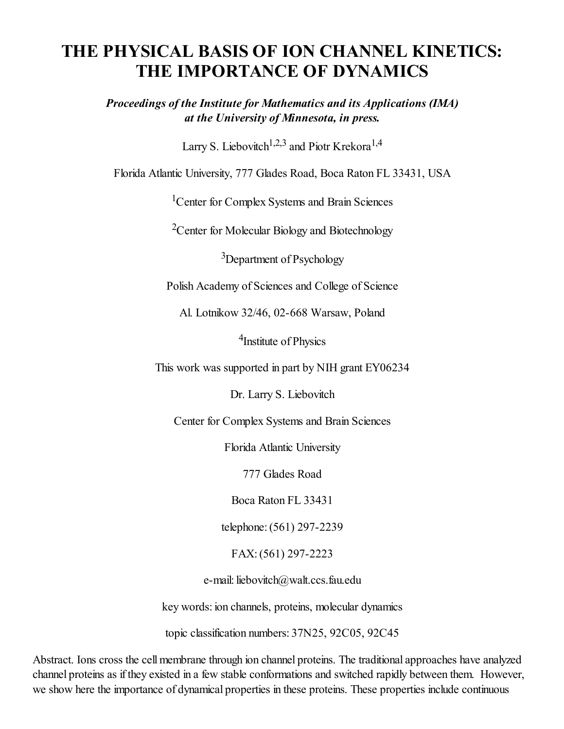### THE PHYSICAL BASIS OF ION CHANNEL KINETICS: THE IMPORTANCE OF DYNAMICS

*Proceedings of the Institute for Mathematics and its Applications (IMA) at the University of Minnesota, in press.*

Larry S. Liebovitch<sup>1,2,3</sup> and Piotr Krekora<sup>1,4</sup>

Florida Atlantic University, 777 Glades Road, Boca Raton FL 33431, USA

<sup>1</sup>Center for Complex Systems and Brain Sciences

<sup>2</sup>Center for Molecular Biology and Biotechnology

<sup>3</sup>Department of Psychology

Polish Academy of Sciences and College of Science

Al. Lotnikow 32/46, 02-668 Warsaw, Poland

<sup>4</sup>Institute of Physics

This work was supported in part by NIH grant EY06234

Dr. Larry S. Liebovitch

Center for Complex Systems and Brain Sciences

Florida Atlantic University

777 Glades Road

Boca Raton FL 33431

telephone:(561) 297-2239

FAX:(561) 297-2223

e-mail: liebovitch@walt.ccs.fau.edu

key words: ion channels, proteins, molecular dynamics

topic classification numbers: 37N25, 92C05, 92C45

Abstract. Ions cross the cell membrane through ion channel proteins. The traditional approaches have analyzed channel proteins as if they existed in a few stable conformations and switched rapidly between them. However, we show here the importance of dynamical properties in these proteins. These properties include continuous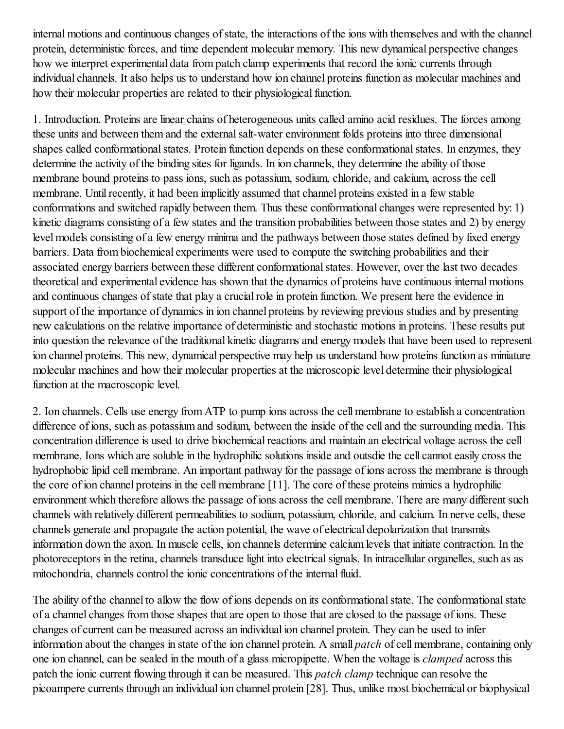internal motions and continuous changes of state, the interactions of the ions with themselves and with the channel protein, deterministic forces, and time dependent molecular memory. This new dynamical perspective changes how we interpret experimental data from patch clamp experiments that record the ionic currents through individual channels. It also helps us to understand how ion channel proteins function as molecular machines and how their molecular properties are related to their physiological function.

1. Introduction. Proteins are linear chains of heterogeneous units called amino acid residues. The forces among these units and between them and the external salt-water environment folds proteins into three dimensional shapes called conformational states. Protein function depends on these conformational states. In enzymes, they determine the activity of the binding sites for ligands. In ion channels, they determine the ability of those membrane bound proteins to pass ions, such as potassium, sodium, chloride, and calcium, across the cell membrane. Until recently, it had been implicitly assumed that channel proteins existed in a few stable conformations and switched rapidly between them. Thus these conformational changes were represented by: 1) kinetic diagrams consisting of a few states and the transition probabilities between those states and 2) by energy level models consisting of a few energy minima and the pathways between those states defined by fixed energy barriers. Data from biochemical experiments were used to compute the switching probabilities and their associated energy barriers between these different conformationalstates. However, over the last two decades theoretical and experimental evidence has shown that the dynamics of proteins have continuous internal motions and continuous changes of state that play a crucial role in protein function. We present here the evidence in support of the importance of dynamics in ion channel proteins by reviewing previous studies and by presenting new calculations on the relative importance of deterministic and stochastic motions in proteins. These results put into question the relevance of the traditional kinetic diagrams and energy models that have been used to represent ion channel proteins. This new, dynamical perspective may help us understand how proteins function as miniature molecular machines and how their molecular properties at the microscopic level determine their physiological function at the macroscopic level.

2. Ion channels. Cells use energy from ATP to pump ions across the cell membrane to establish a concentration difference of ions, such as potassium and sodium, between the inside of the cell and the surrounding media. This concentration difference is used to drive biochemical reactions and maintain an electrical voltage across the cell membrane. Ions which are soluble in the hydrophilic solutions inside and outsdie the cell cannot easily cross the hydrophobic lipid cell membrane. An important pathway for the passage of ions across the membrane is through the core of ion channel proteins in the cell membrane [11]. The core of these proteins mimics a hydrophilic environment which therefore allows the passage of ions across the cell membrane. There are many different such channels with relatively different permeabilities to sodium, potassium, chloride, and calcium. In nerve cells, these channels generate and propagate the action potential, the wave of electrical depolarization that transmits information down the axon. In muscle cells, ion channels determine calcium levels that initiate contraction. In the photoreceptors in the retina, channels transduce light into electricalsignals. In intracellular organelles, such as as mitochondria, channels control the ionic concentrations of the internal fluid.

The ability of the channel to allow the flow of ions depends on its conformational state. The conformational state of a channel changes from those shapes that are open to those that are closed to the passage of ions. These changes of current can be measured across an individual ion channel protein. They can be used to infer information about the changes in state of the ion channel protein. A small *patch* of cell membrane, containing only one ion channel, can be sealed in the mouth of a glass micropipette. When the voltage is *clamped* across this patch the ionic current flowing through it can be measured. This *patch clamp* technique can resolve the picoampere currents through an individual ion channel protein [28]. Thus, unlike most biochemical or biophysical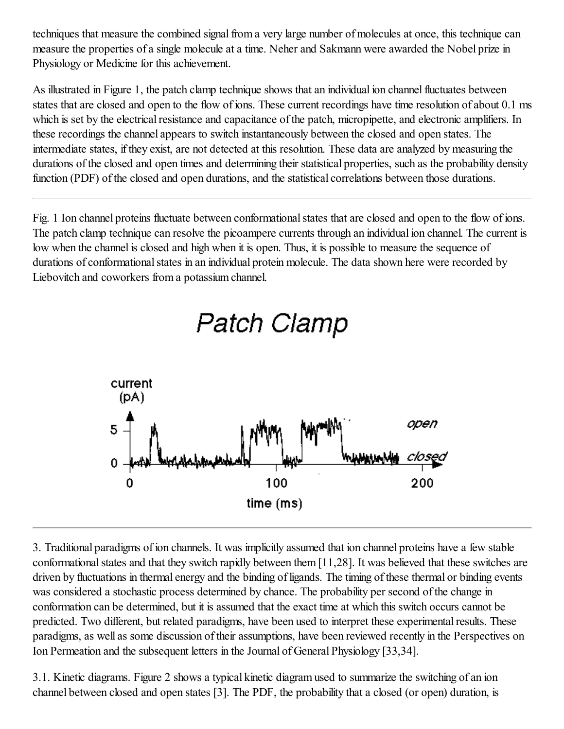techniques that measure the combined signal from a very large number of molecules at once, this technique can measure the properties of a single molecule at a time. Neher and Sakmann were awarded the Nobel prize in Physiology or Medicine for this achievement.

As illustrated in Figure 1, the patch clamp technique shows that an individual ion channel fluctuates between states that are closed and open to the flow of ions. These current recordings have time resolution of about 0.1 ms which is set by the electrical resistance and capacitance of the patch, micropipette, and electronic amplifiers. In these recordings the channel appears to switch instantaneously between the closed and open states. The intermediate states, if they exist, are not detected at this resolution. These data are analyzed by measuring the durations of the closed and open times and determining their statistical properties, such as the probability density function (PDF) of the closed and open durations, and the statistical correlations between those durations.

Fig. 1 Ion channel proteins fluctuate between conformational states that are closed and open to the flow of ions. The patch clamp technique can resolve the picoampere currents through an individual ion channel. The current is low when the channel is closed and high when it is open. Thus, it is possible to measure the sequence of durations of conformational states in an individual protein molecule. The data shown here were recorded by Liebovitch and coworkers from a potassium channel.



Patch Clamp

3. Traditional paradigms of ion channels. It was implicitly assumed that ion channel proteins have a few stable conformational states and that they switch rapidly between them [11,28]. It was believed that these switches are driven by fluctuations in thermal energy and the binding of ligands. The timing of these thermal or binding events was considered a stochastic process determined by chance. The probability per second of the change in conformation can be determined, but it is assumed that the exact time at which this switch occurs cannot be predicted. Two different, but related paradigms, have been used to interpret these experimental results. These paradigms, as well as some discussion of their assumptions, have been reviewed recently in the Perspectives on Ion Permeation and the subsequent letters in the Journal of General Physiology [33,34].

3.1. Kinetic diagrams. Figure 2 shows a typical kinetic diagram used to summarize the switching of an ion channel between closed and open states [3]. The PDF, the probability that a closed (or open) duration, is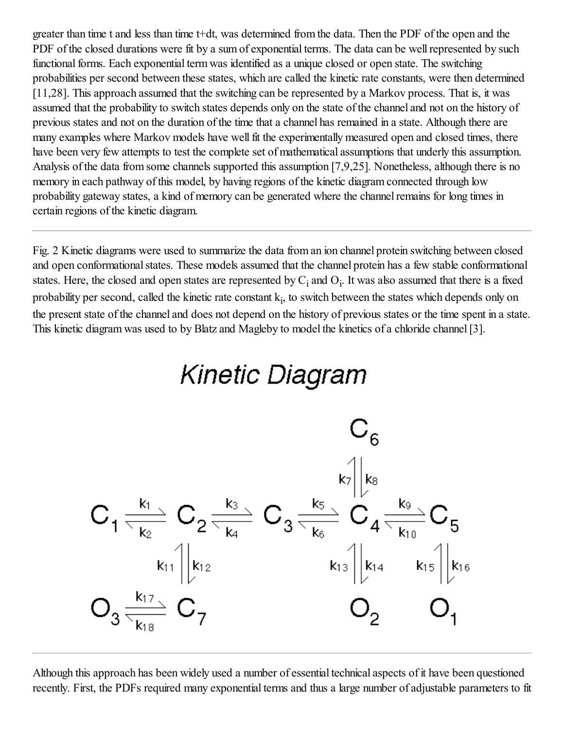greater than time t and less than time t+dt, was determined from the data. Then the PDF of the open and the PDF of the closed durations were fit by a sum of exponential terms. The data can be well represented by such functional forms. Each exponential term was identified as a unique closed or open state. The switching probabilities per second between these states, which are called the kinetic rate constants, were then determined [11,28]. This approach assumed that the switching can be represented by a Markov process. That is, it was assumed that the probability to switch states depends only on the state of the channel and not on the history of previous states and not on the duration of the time that a channel has remained in a state. Although there are many examples where Markov models have well fit the experimentally measured open and closed times, there have been very few attempts to test the complete set of mathematical assumptions that underly this assumption. Analysis of the data from some channels supported this assumption [7,9,25]. Nonetheless, although there is no memory in each pathway of this model, by having regions of the kinetic diagram connected through low probability gateway states, a kind of memory can be generated where the channel remains for long times in certain regions of the kinetic diagram.

Fig. 2 Kinetic diagrams were used to summarize the data from an ion channel protein switching between closed and open conformational states. These models assumed that the channel protein has a few stable conformational states. Here, the closed and open states are represented by  $C_i$  and  $O_i$ . It was also assumed that there is a fixed probability per second, called the kinetic rate constant  $k_i$ , to switch between the states which depends only on the present state of the channel and does not depend on the history of previous states or the time spent in a state. This kinetic diagram was used to by Blatz and Magleby to model the kinetics of a chloride channel[3].



Although this approach has been widely used a number of essential technical aspects of it have been questioned recently. First, the PDFs required many exponential terms and thus a large number of adjustable parameters to fit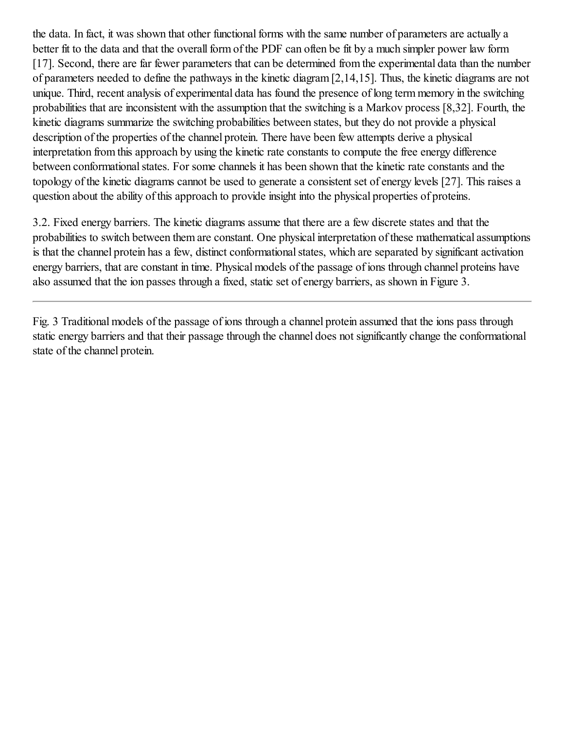the data. In fact, it was shown that other functional forms with the same number of parameters are actually a better fit to the data and that the overall form of the PDF can often be fit by a much simpler power law form [17]. Second, there are far fewer parameters that can be determined from the experimental data than the number of parameters needed to define the pathways in the kinetic diagram [2,14,15]. Thus, the kinetic diagrams are not unique. Third, recent analysis of experimental data has found the presence of long term memory in the switching probabilities that are inconsistent with the assumption that the switching is a Markov process [8,32]. Fourth, the kinetic diagrams summarize the switching probabilities between states, but they do not provide a physical description of the properties of the channel protein. There have been few attempts derive a physical interpretation from this approach by using the kinetic rate constants to compute the free energy difference between conformational states. For some channels it has been shown that the kinetic rate constants and the topology of the kinetic diagrams cannot be used to generate a consistent set of energy levels [27]. This raises a question about the ability of this approach to provide insight into the physical properties of proteins.

3.2. Fixed energy barriers. The kinetic diagrams assume that there are a few discrete states and that the probabilities to switch between them are constant. One physical interpretation of these mathematical assumptions is that the channel protein has a few, distinct conformational states, which are separated by significant activation energy barriers, that are constant in time. Physical models of the passage of ions through channel proteins have also assumed that the ion passes through a fixed, static set of energy barriers, as shown in Figure 3.

Fig. 3 Traditional models of the passage of ions through a channel protein assumed that the ions pass through static energy barriers and that their passage through the channel does not significantly change the conformational state of the channel protein.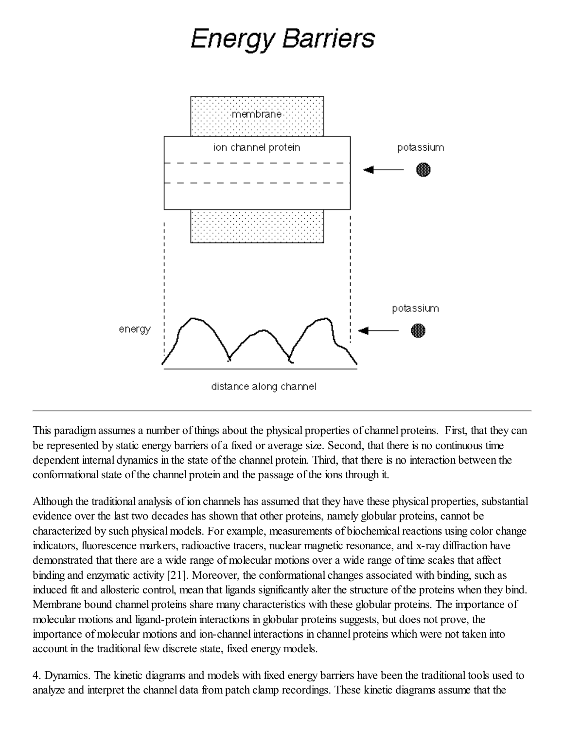# Energy Barriers



This paradigm assumes a number of things about the physical properties of channel proteins. First, that they can be represented by static energy barriers of a fixed or average size. Second, that there is no continuous time dependent internal dynamics in the state of the channel protein. Third, that there is no interaction between the conformational state of the channel protein and the passage of the ions through it.

Although the traditional analysis of ion channels has assumed that they have these physical properties, substantial evidence over the last two decades has shown that other proteins, namely globular proteins, cannot be characterized by such physical models. For example, measurements of biochemical reactions using color change indicators, fluorescence markers, radioactive tracers, nuclear magnetic resonance, and x-ray diffraction have demonstrated that there are a wide range of molecular motions over a wide range of time scales that affect binding and enzymatic activity [21]. Moreover, the conformational changes associated with binding, such as induced fit and allosteric control, mean that ligands significantly alter the structure of the proteins when they bind. Membrane bound channel proteins share many characteristics with these globular proteins. The importance of molecular motions and ligand-protein interactions in globular proteins suggests, but does not prove, the importance of molecular motions and ion-channel interactions in channel proteins which were not taken into account in the traditional few discrete state, fixed energy models.

4. Dynamics. The kinetic diagrams and models with fixed energy barriers have been the traditional tools used to analyze and interpret the channel data from patch clamp recordings. These kinetic diagrams assume that the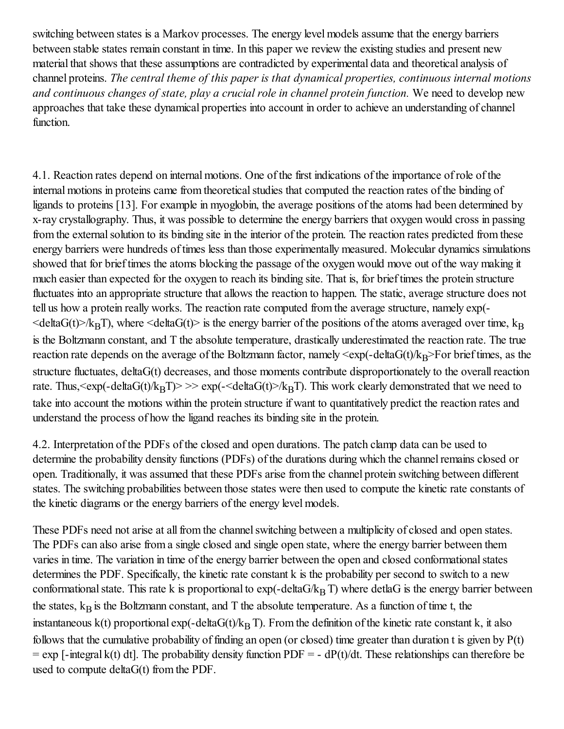switching between states is a Markov processes. The energy level models assume that the energy barriers between stable states remain constant in time. In this paper we review the existing studies and present new material that shows that these assumptions are contradicted by experimental data and theoretical analysis of channel proteins. *The central theme of this paper is that dynamical properties, continuous internal motions and continuous changes of state, play a crucial role in channel protein function.* We need to develop new approaches that take these dynamical properties into account in order to achieve an understanding of channel function.

4.1. Reaction rates depend on internal motions. One of the first indications of the importance of role of the internal motions in proteins came from theoretical studies that computed the reaction rates of the binding of ligands to proteins [13]. For example in myoglobin, the average positions of the atoms had been determined by x-ray crystallography. Thus, it was possible to determine the energy barriers that oxygen would cross in passing from the external solution to its binding site in the interior of the protein. The reaction rates predicted from these energy barriers were hundreds of times less than those experimentally measured. Molecular dynamics simulations showed that for brief times the atoms blocking the passage of the oxygen would move out of the way making it much easier than expected for the oxygen to reach its binding site. That is, for brief times the protein structure fluctuates into an appropriate structure that allows the reaction to happen. The static, average structure does not tell us how a protein really works. The reaction rate computed from the average structure, namely exp(-  $\leq$ deltaG(t) $\geq$ /k<sub>B</sub>T), where  $\leq$ deltaG(t) $\geq$  is the energy barrier of the positions of the atoms averaged over time, k<sub>B</sub> is the Boltzmann constant, and T the absolute temperature, drastically underestimated the reaction rate. The true reaction rate depends on the average of the Boltzmann factor, namely  $\langle \exp(-\text{deltaG}(t)/k_B \rangle)$ For brief times, as the structure fluctuates, deltaG(t) decreases, and those moments contribute disproportionately to the overall reaction rate. Thus,  $\langle \exp(-\det(\mathbf{G}(t)/k_{\mathrm{B}}T)\rangle \rangle \gg \exp(-\det(\mathbf{G}(t))/k_{\mathrm{B}}T)$ . This work clearly demonstrated that we need to take into account the motions within the protein structure if want to quantitatively predict the reaction rates and understand the process of how the ligand reaches its binding site in the protein.

4.2. Interpretation of the PDFs of the closed and open durations. The patch clamp data can be used to determine the probability density functions (PDFs) of the durations during which the channel remains closed or open. Traditionally, it was assumed that these PDFs arise from the channel protein switching between different states. The switching probabilities between those states were then used to compute the kinetic rate constants of the kinetic diagrams or the energy barriers of the energy level models.

These PDFs need not arise at all from the channel switching between a multiplicity of closed and open states. The PDFs can also arise from a single closed and single open state, where the energy barrier between them varies in time. The variation in time of the energy barrier between the open and closed conformational states determines the PDF. Specifically, the kinetic rate constant k is the probability per second to switch to a new conformational state. This rate k is proportional to  $exp(-delta/k_BT)$  where detlaG is the energy barrier between the states,  $k_B$  is the Boltzmann constant, and T the absolute temperature. As a function of time t, the instantaneous k(t) proportional exp(-deltaG(t)/ $k_B$  T). From the definition of the kinetic rate constant k, it also follows that the cumulative probability of finding an open (or closed) time greater than duration t is given by  $P(t)$  $=$  exp [-integral k(t) dt]. The probability density function PDF = - dP(t)/dt. These relationships can therefore be used to compute deltaG(t) from the PDF.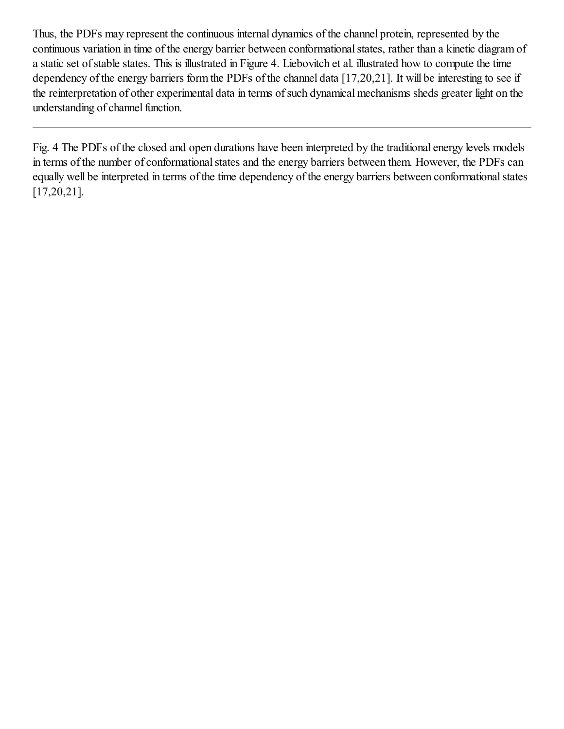Thus, the PDFs may represent the continuous internal dynamics of the channel protein, represented by the continuous variation in time of the energy barrier between conformational states, rather than a kinetic diagram of a static set of stable states. This is illustrated in Figure 4. Liebovitch et al. illustrated how to compute the time dependency of the energy barriers form the PDFs of the channel data [17,20,21]. It will be interesting to see if the reinterpretation of other experimental data in terms of such dynamical mechanisms sheds greater light on the understanding of channel function.

Fig. 4 The PDFs of the closed and open durations have been interpreted by the traditional energy levels models in terms of the number of conformational states and the energy barriers between them. However, the PDFs can equally well be interpreted in terms of the time dependency of the energy barriers between conformationalstates [17,20,21].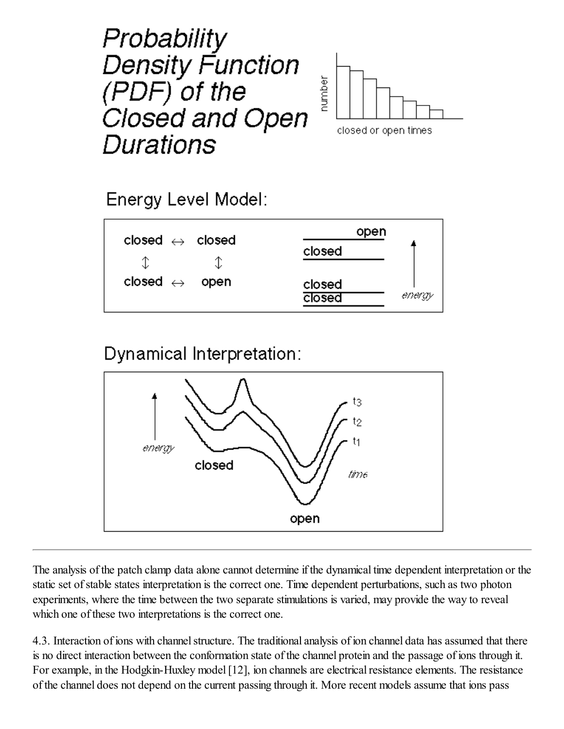## Probability **Density Function** (PDF) of the Closed and Open Durations



Energy Level Model:

| closed $\leftrightarrow$ closed | open                       |
|---------------------------------|----------------------------|
|                                 | closed                     |
| closed $\leftrightarrow$ open   | closed<br>energy<br>closed |

Dynamical Interpretation:



The analysis of the patch clamp data alone cannot determine if the dynamical time dependent interpretation or the static set of stable states interpretation is the correct one. Time dependent perturbations, such as two photon experiments, where the time between the two separate stimulations is varied, may provide the way to reveal which one of these two interpretations is the correct one.

4.3. Interaction of ions with channel structure. The traditional analysis of ion channel data has assumed that there is no direct interaction between the conformation state of the channel protein and the passage of ions through it. For example, in the Hodgkin-Huxley model [12], ion channels are electrical resistance elements. The resistance of the channel does not depend on the current passing through it. More recent models assume that ions pass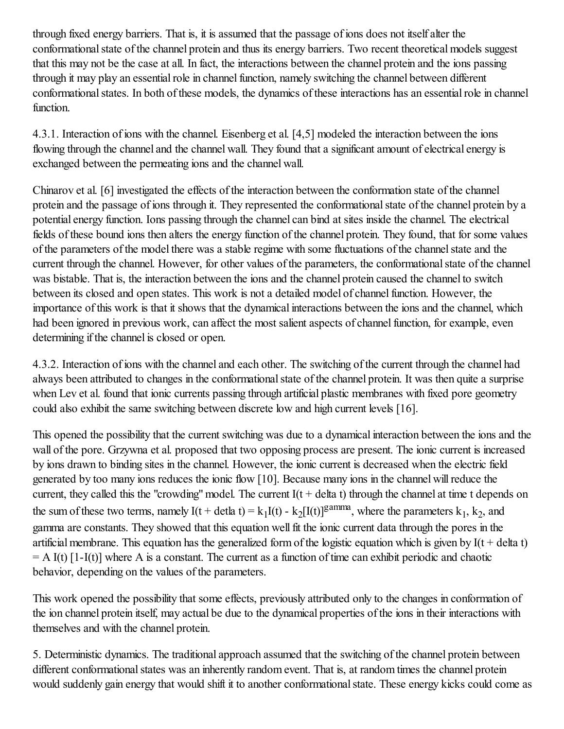through fixed energy barriers. That is, it is assumed that the passage of ions does not itself alter the conformational state of the channel protein and thus its energy barriers. Two recent theoretical models suggest that this may not be the case at all. In fact, the interactions between the channel protein and the ions passing through it may play an essential role in channel function, namely switching the channel between different conformational states. In both of these models, the dynamics of these interactions has an essential role in channel function.

4.3.1. Interaction of ions with the channel. Eisenberg et al. [4,5] modeled the interaction between the ions flowing through the channel and the channel wall. They found that a significant amount of electrical energy is exchanged between the permeating ions and the channel wall.

Chinarov et al. [6] investigated the effects of the interaction between the conformation state of the channel protein and the passage of ions through it. They represented the conformationalstate of the channel protein by a potential energy function. Ions passing through the channel can bind at sites inside the channel. The electrical fields of these bound ions then alters the energy function of the channel protein. They found, that for some values of the parameters of the model there was a stable regime with some fluctuations of the channelstate and the current through the channel. However, for other values of the parameters, the conformational state of the channel was bistable. That is, the interaction between the ions and the channel protein caused the channel to switch between its closed and open states. This work is not a detailed model of channel function. However, the importance of this work is that it shows that the dynamical interactions between the ions and the channel, which had been ignored in previous work, can affect the most salient aspects of channel function, for example, even determining if the channel is closed or open.

4.3.2. Interaction of ions with the channel and each other. The switching of the current through the channel had always been attributed to changes in the conformational state of the channel protein. It was then quite a surprise when Lev et al. found that ionic currents passing through artificial plastic membranes with fixed pore geometry could also exhibit the same switching between discrete low and high current levels [16].

This opened the possibility that the current switching was due to a dynamical interaction between the ions and the wall of the pore. Grzywna et al. proposed that two opposing process are present. The ionic current is increased by ions drawn to binding sites in the channel. However, the ionic current is decreased when the electric field generated by too many ions reduces the ionic flow [10]. Because many ions in the channel willreduce the current, they called this the "crowding" model. The current  $I(t + delta t)$  through the channel at time t depends on the sum of these two terms, namely  $I(t + \text{delta } t) = k_1 I(t) - k_2 [I(t)]^{gamma}$ , where the parameters  $k_1, k_2$ , and gamma are constants. They showed that this equation wellfit the ionic current data through the pores in the artificial membrane. This equation has the generalized form of the logistic equation which is given by  $I(t + delta t)$  $=$  A I(t) [1-I(t)] where A is a constant. The current as a function of time can exhibit periodic and chaotic behavior, depending on the values of the parameters.

This work opened the possibility that some effects, previously attributed only to the changes in conformation of the ion channel protein itself, may actual be due to the dynamical properties of the ions in their interactions with themselves and with the channel protein.

5. Deterministic dynamics. The traditional approach assumed that the switching of the channel protein between different conformational states was an inherently random event. That is, at random times the channel protein would suddenly gain energy that would shift it to another conformational state. These energy kicks could come as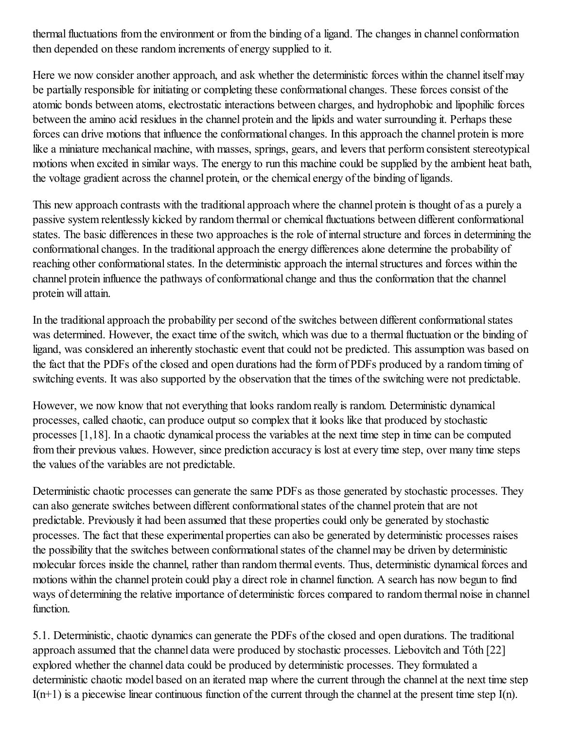thermal fluctuations from the environment or from the binding of a ligand. The changes in channel conformation then depended on these random increments of energy supplied to it.

Here we now consider another approach, and ask whether the deterministic forces within the channel itself may be partially responsible for initiating or completing these conformational changes. These forces consist of the atomic bonds between atoms, electrostatic interactions between charges, and hydrophobic and lipophilic forces between the amino acid residues in the channel protein and the lipids and water surrounding it. Perhaps these forces can drive motions that influence the conformational changes. In this approach the channel protein is more like a miniature mechanical machine, with masses, springs, gears, and levers that perform consistent stereotypical motions when excited in similar ways. The energy to run this machine could be supplied by the ambient heat bath, the voltage gradient across the channel protein, or the chemical energy of the binding of ligands.

This new approach contrasts with the traditional approach where the channel protein is thought of as a purely a passive system relentlessly kicked by random thermal or chemical fluctuations between different conformational states. The basic differences in these two approaches is the role of internalstructure and forces in determining the conformational changes. In the traditional approach the energy differences alone determine the probability of reaching other conformational states. In the deterministic approach the internal structures and forces within the channel protein influence the pathways of conformational change and thus the conformation that the channel protein will attain.

In the traditional approach the probability per second of the switches between different conformational states was determined. However, the exact time of the switch, which was due to a thermal fluctuation or the binding of ligand, was considered an inherently stochastic event that could not be predicted. This assumption was based on the fact that the PDFs of the closed and open durations had the form of PDFs produced by a random timing of switching events. It was also supported by the observation that the times of the switching were not predictable.

However, we now know that not everything that looks random really is random. Deterministic dynamical processes, called chaotic, can produce output so complex that it looks like that produced by stochastic processes [1,18]. In a chaotic dynamical process the variables at the next time step in time can be computed from their previous values. However, since prediction accuracy is lost at every time step, over many time steps the values of the variables are not predictable.

Deterministic chaotic processes can generate the same PDFs as those generated by stochastic processes. They can also generate switches between different conformational states of the channel protein that are not predictable. Previously it had been assumed that these properties could only be generated by stochastic processes. The fact that these experimental properties can also be generated by deterministic processes raises the possibility that the switches between conformational states of the channel may be driven by deterministic molecular forces inside the channel, rather than random thermal events. Thus, deterministic dynamical forces and motions within the channel protein could play a direct role in channel function. A search has now begun to find ways of determining the relative importance of deterministic forces compared to random thermal noise in channel function.

5.1. Deterministic, chaotic dynamics can generate the PDFs of the closed and open durations. The traditional approach assumed that the channel data were produced by stochastic processes. Liebovitch and Tóth [22] explored whether the channel data could be produced by deterministic processes. They formulated a deterministic chaotic model based on an iterated map where the current through the channel at the next time step  $I(n+1)$  is a piecewise linear continuous function of the current through the channel at the present time step  $I(n)$ .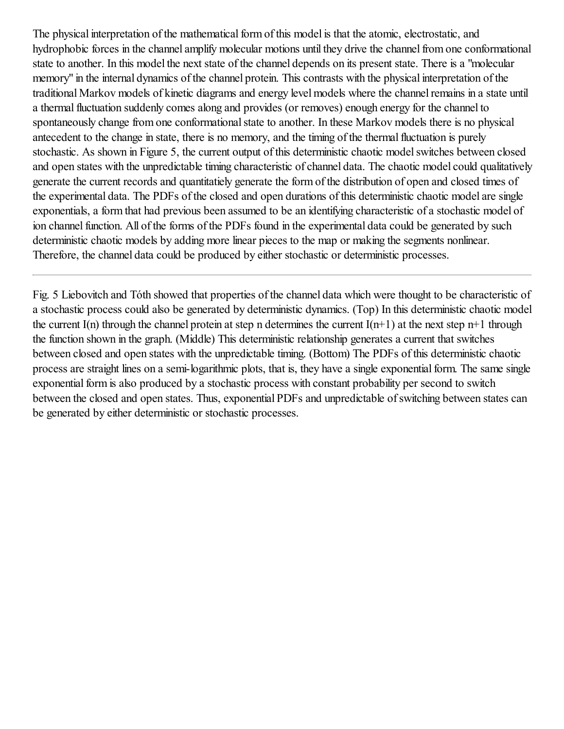The physical interpretation of the mathematical form of this model is that the atomic, electrostatic, and hydrophobic forces in the channel amplify molecular motions until they drive the channel from one conformational state to another. In this model the next state of the channel depends on its present state. There is a "molecular memory" in the internal dynamics of the channel protein. This contrasts with the physical interpretation of the traditional Markov models of kinetic diagrams and energy level models where the channelremains in a state until a thermal fluctuation suddenly comes along and provides (or removes) enough energy for the channel to spontaneously change from one conformational state to another. In these Markov models there is no physical antecedent to the change in state, there is no memory, and the timing of the thermalfluctuation is purely stochastic. As shown in Figure 5, the current output of this deterministic chaotic model switches between closed and open states with the unpredictable timing characteristic of channel data. The chaotic model could qualitatively generate the current records and quantitatiely generate the form of the distribution of open and closed times of the experimental data. The PDFs of the closed and open durations of this deterministic chaotic model are single exponentials, a form that had previous been assumed to be an identifying characteristic of a stochastic model of ion channel function. All of the forms of the PDFs found in the experimental data could be generated by such deterministic chaotic models by adding more linear pieces to the map or making the segments nonlinear. Therefore, the channel data could be produced by either stochastic or deterministic processes.

Fig. 5 Liebovitch and Tóth showed that properties of the channel data which were thought to be characteristic of a stochastic process could also be generated by deterministic dynamics. (Top) In this deterministic chaotic model the current I(n) through the channel protein at step n determines the current  $I(n+1)$  at the next step n+1 through the function shown in the graph. (Middle) This deterministic relationship generates a current that switches between closed and open states with the unpredictable timing. (Bottom) The PDFs of this deterministic chaotic process are straight lines on a semi-logarithmic plots, that is, they have a single exponential form. The same single exponential form is also produced by a stochastic process with constant probability per second to switch between the closed and open states. Thus, exponential PDFs and unpredictable of switching between states can be generated by either deterministic or stochastic processes.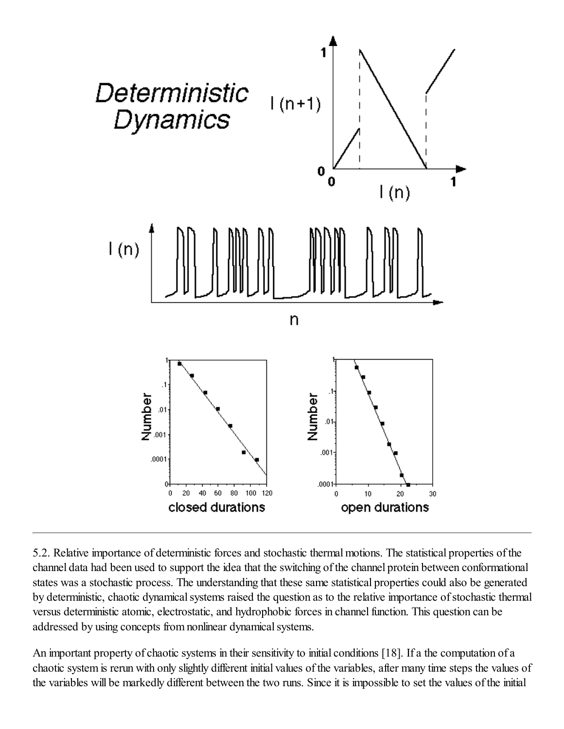

5.2. Relative importance of deterministic forces and stochastic thermal motions. The statistical properties of the channel data had been used to support the idea that the switching of the channel protein between conformational states was a stochastic process. The understanding that these same statistical properties could also be generated by deterministic, chaotic dynamical systems raised the question as to the relative importance of stochastic thermal versus deterministic atomic, electrostatic, and hydrophobic forces in channel function. This question can be addressed by using concepts from nonlinear dynamical systems.

An important property of chaotic systems in their sensitivity to initial conditions [18]. If a the computation of a chaotic system is rerun with only slightly different initial values of the variables, after many time steps the values of the variables will be markedly different between the two runs. Since it is impossible to set the values of the initial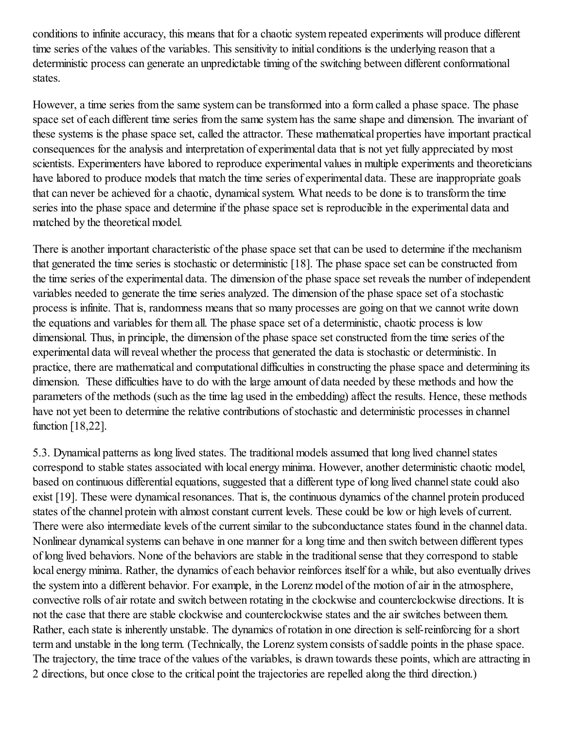conditions to infinite accuracy, this means that for a chaotic system repeated experiments will produce different time series of the values of the variables. This sensitivity to initial conditions is the underlying reason that a deterministic process can generate an unpredictable timing of the switching between different conformational states.

However, a time series from the same system can be transformed into a form called a phase space. The phase space set of each different time series from the same system has the same shape and dimension. The invariant of these systems is the phase space set, called the attractor. These mathematical properties have important practical consequences for the analysis and interpretation of experimental data that is not yet fully appreciated by most scientists. Experimenters have labored to reproduce experimental values in multiple experiments and theoreticians have labored to produce models that match the time series of experimental data. These are inappropriate goals that can never be achieved for a chaotic, dynamical system. What needs to be done is to transform the time series into the phase space and determine if the phase space set is reproducible in the experimental data and matched by the theoretical model.

There is another important characteristic of the phase space set that can be used to determine if the mechanism that generated the time series is stochastic or deterministic [18]. The phase space set can be constructed from the time series of the experimental data. The dimension of the phase space set reveals the number of independent variables needed to generate the time series analyzed. The dimension of the phase space set of a stochastic process is infinite. That is, randomness means that so many processes are going on that we cannot write down the equations and variables for them all. The phase space set of a deterministic, chaotic process is low dimensional. Thus, in principle, the dimension of the phase space set constructed from the time series of the experimental data will reveal whether the process that generated the data is stochastic or deterministic. In practice, there are mathematical and computational difficulties in constructing the phase space and determining its dimension. These difficulties have to do with the large amount of data needed by these methods and how the parameters of the methods (such as the time lag used in the embedding) affect the results. Hence, these methods have not yet been to determine the relative contributions of stochastic and deterministic processes in channel function [18,22].

5.3. Dynamical patterns as long lived states. The traditional models assumed that long lived channel states correspond to stable states associated with local energy minima. However, another deterministic chaotic model, based on continuous differential equations, suggested that a different type of long lived channel state could also exist [19]. These were dynamical resonances. That is, the continuous dynamics of the channel protein produced states of the channel protein with almost constant current levels. These could be low or high levels of current. There were also intermediate levels of the current similar to the subconductance states found in the channel data. Nonlinear dynamical systems can behave in one manner for a long time and then switch between different types of long lived behaviors. None of the behaviors are stable in the traditionalsense that they correspond to stable local energy minima. Rather, the dynamics of each behavior reinforces itself for a while, but also eventually drives the system into a different behavior. For example, in the Lorenz model of the motion of air in the atmosphere, convective rolls of air rotate and switch between rotating in the clockwise and counterclockwise directions. It is not the case that there are stable clockwise and counterclockwise states and the air switches between them. Rather, each state is inherently unstable. The dynamics of rotation in one direction is self-reinforcing for a short term and unstable in the long term. (Technically, the Lorenz system consists ofsaddle points in the phase space. The trajectory, the time trace of the values of the variables, is drawn towards these points, which are attracting in 2 directions, but once close to the critical point the trajectories are repelled along the third direction.)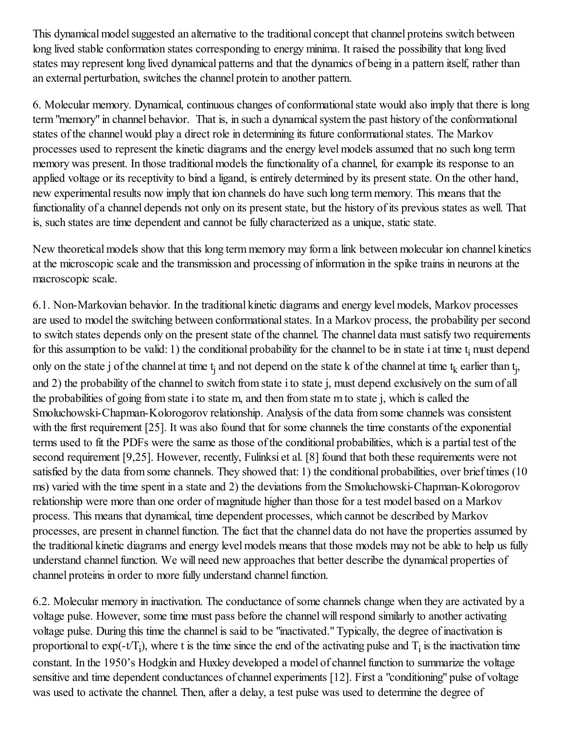This dynamical model suggested an alternative to the traditional concept that channel proteins switch between long lived stable conformation states corresponding to energy minima. It raised the possibility that long lived states may represent long lived dynamical patterns and that the dynamics of being in a pattern itself, rather than an external perturbation, switches the channel protein to another pattern.

6. Molecular memory. Dynamical, continuous changes of conformationalstate would also imply that there is long term "memory" in channel behavior. That is, in such a dynamical system the past history of the conformational states of the channel would play a direct role in determining its future conformational states. The Markov processes used to represent the kinetic diagrams and the energy level models assumed that no such long term memory was present. In those traditional models the functionality of a channel, for example its response to an applied voltage or its receptivity to bind a ligand, is entirely determined by its present state. On the other hand, new experimental results now imply that ion channels do have such long term memory. This means that the functionality of a channel depends not only on its present state, but the history of its previous states as well. That is, such states are time dependent and cannot be fully characterized as a unique, static state.

New theoretical models show that this long term memory may form a link between molecular ion channel kinetics at the microscopic scale and the transmission and processing of information in the spike trains in neurons at the macroscopic scale.

6.1. Non-Markovian behavior. In the traditional kinetic diagrams and energy level models, Markov processes are used to model the switching between conformational states. In a Markov process, the probability per second to switch states depends only on the present state of the channel. The channel data must satisfy two requirements for this assumption to be valid: 1) the conditional probability for the channel to be in state  $i$  at time  $t_i$  must depend only on the state j of the channel at time  $t_j$  and not depend on the state k of the channel at time  $t_k$  earlier than  $t_j$ , and 2) the probability of the channel to switch from state i to state j, must depend exclusively on the sum of all the probabilities of going from state i to state m, and then from state m to state j, which is called the Smoluchowski-Chapman-Kolorogorov relationship. Analysis of the data from some channels was consistent with the first requirement [25]. It was also found that for some channels the time constants of the exponential terms used to fit the PDFs were the same as those of the conditional probabilities, which is a partial test of the second requirement [9,25]. However, recently, Fulinksi et al. [8] found that both these requirements were not satisfied by the data from some channels. They showed that: 1) the conditional probabilities, over brief times (10 ms) varied with the time spent in a state and 2) the deviations from the Smoluchowski-Chapman-Kolorogorov relationship were more than one order of magnitude higher than those for a test model based on a Markov process. This means that dynamical, time dependent processes, which cannot be described by Markov processes, are present in channel function. The fact that the channel data do not have the properties assumed by the traditional kinetic diagrams and energy level models means that those models may not be able to help us fully understand channel function. We will need new approaches that better describe the dynamical properties of channel proteins in order to more fully understand channel function.

6.2. Molecular memory in inactivation. The conductance ofsome channels change when they are activated by a voltage pulse. However, some time must pass before the channel willrespond similarly to another activating voltage pulse. During this time the channel is said to be "inactivated." Typically, the degree of inactivation is proportional to  $exp(-tT_i)$ , where t is the time since the end of the activating pulse and  $T_i$  is the inactivation time constant. In the 1950's Hodgkin and Huxley developed a model of channel function to summarize the voltage sensitive and time dependent conductances of channel experiments [12]. First a "conditioning" pulse of voltage was used to activate the channel. Then, after a delay, a test pulse was used to determine the degree of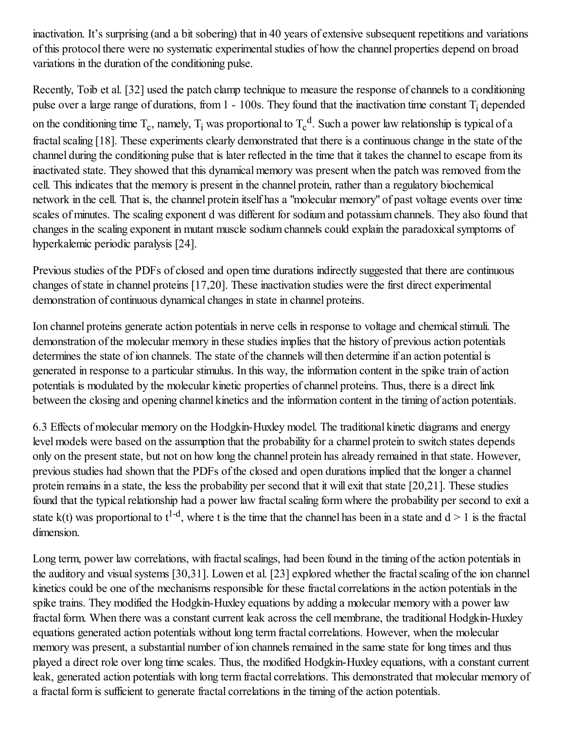inactivation. It's surprising (and a bit sobering) that in 40 years of extensive subsequent repetitions and variations of this protocol there were no systematic experimental studies of how the channel properties depend on broad variations in the duration of the conditioning pulse.

Recently, Toib et al. [32] used the patch clamp technique to measure the response of channels to a conditioning pulse over a large range of durations, from  $1 - 100s$ . They found that the inactivation time constant  $T_i$  depended on the conditioning time  $T_c$ , namely,  $T_i$  was proportional to  $T_c^d$ . Such a power law relationship is typical of a fractal scaling [18]. These experiments clearly demonstrated that there is a continuous change in the state of the channel during the conditioning pulse that is later reflected in the time that it takes the channel to escape from its inactivated state. They showed that this dynamical memory was present when the patch was removed from the cell. This indicates that the memory is present in the channel protein, rather than a regulatory biochemical network in the cell. That is, the channel protein itself has a "molecular memory" of past voltage events over time scales of minutes. The scaling exponent d was different for sodium and potassium channels. They also found that changes in the scaling exponent in mutant muscle sodium channels could explain the paradoxical symptoms of hyperkalemic periodic paralysis [24].

Previous studies of the PDFs of closed and open time durations indirectly suggested that there are continuous changes of state in channel proteins [17,20]. These inactivation studies were the first direct experimental demonstration of continuous dynamical changes in state in channel proteins.

Ion channel proteins generate action potentials in nerve cells in response to voltage and chemical stimuli. The demonstration of the molecular memory in these studies implies that the history of previous action potentials determines the state of ion channels. The state of the channels will then determine if an action potential is generated in response to a particular stimulus. In this way, the information content in the spike train of action potentials is modulated by the molecular kinetic properties of channel proteins. Thus, there is a direct link between the closing and opening channel kinetics and the information content in the timing of action potentials.

6.3 Effects of molecular memory on the Hodgkin-Huxley model. The traditional kinetic diagrams and energy level models were based on the assumption that the probability for a channel protein to switch states depends only on the present state, but not on how long the channel protein has already remained in that state. However, previous studies had shown that the PDFs of the closed and open durations implied that the longer a channel protein remains in a state, the less the probability per second that it will exit that state [20,21]. These studies found that the typical relationship had a power law fractal scaling form where the probability per second to exit a state  $k(t)$  was proportional to  $t^{1-d}$ , where t is the time that the channel has been in a state and  $d > 1$  is the fractal dimension.

Long term, power law correlations, with fractal scalings, had been found in the timing of the action potentials in the auditory and visual systems [30,31]. Lowen et al. [23] explored whether the fractal scaling of the ion channel kinetics could be one of the mechanisms responsible for these fractal correlations in the action potentials in the spike trains. They modified the Hodgkin-Huxley equations by adding a molecular memory with a power law fractal form. When there was a constant current leak across the cell membrane, the traditional Hodgkin-Huxley equations generated action potentials without long term fractal correlations. However, when the molecular memory was present, a substantial number of ion channels remained in the same state for long times and thus played a direct role over long time scales. Thus, the modified Hodgkin-Huxley equations, with a constant current leak, generated action potentials with long term fractal correlations. This demonstrated that molecular memory of a fractal form is sufficient to generate fractal correlations in the timing of the action potentials.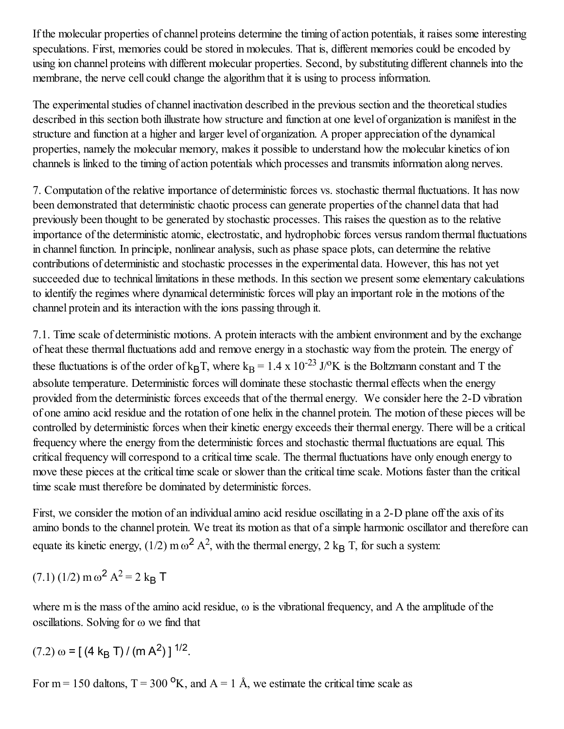If the molecular properties of channel proteins determine the timing of action potentials, it raises some interesting speculations. First, memories could be stored in molecules. That is, different memories could be encoded by using ion channel proteins with different molecular properties. Second, by substituting different channels into the membrane, the nerve cell could change the algorithm that it is using to process information.

The experimental studies of channel inactivation described in the previous section and the theoretical studies described in this section both illustrate how structure and function at one level of organization is manifest in the structure and function at a higher and larger level of organization. A proper appreciation of the dynamical properties, namely the molecular memory, makes it possible to understand how the molecular kinetics of ion channels is linked to the timing of action potentials which processes and transmits information along nerves.

7. Computation of the relative importance of deterministic forces vs. stochastic thermalfluctuations. It has now been demonstrated that deterministic chaotic process can generate properties of the channel data that had previously been thought to be generated by stochastic processes. This raises the question as to the relative importance of the deterministic atomic, electrostatic, and hydrophobic forces versus random thermal fluctuations in channel function. In principle, nonlinear analysis, such as phase space plots, can determine the relative contributions of deterministic and stochastic processes in the experimental data. However, this has not yet succeeded due to technical limitations in these methods. In this section we present some elementary calculations to identify the regimes where dynamical deterministic forces will play an important role in the motions of the channel protein and its interaction with the ions passing through it.

7.1. Time scale of deterministic motions. A protein interacts with the ambient environment and by the exchange of heat these thermalfluctuations add and remove energy in a stochastic way from the protein. The energy of these fluctuations is of the order of  $k_BT$ , where  $k_B = 1.4 \times 10^{-23}$  J/<sup>o</sup>K is the Boltzmann constant and T the absolute temperature. Deterministic forces will dominate these stochastic thermal effects when the energy provided from the deterministic forces exceeds that of the thermal energy. We consider here the 2-D vibration of one amino acid residue and the rotation of one helix in the channel protein. The motion of these pieces will be controlled by deterministic forces when their kinetic energy exceeds their thermal energy. There will be a critical frequency where the energy from the deterministic forces and stochastic thermalfluctuations are equal. This critical frequency will correspond to a critical time scale. The thermal fluctuations have only enough energy to move these pieces at the critical time scale or slower than the critical time scale. Motions faster than the critical time scale must therefore be dominated by deterministic forces.

First, we consider the motion of an individual amino acid residue oscillating in a 2-D plane off the axis of its amino bonds to the channel protein. We treat its motion as that of a simple harmonic oscillator and therefore can equate its kinetic energy, (1/2) m  $\omega^2 A^2$ , with the thermal energy, 2 k<sub>B</sub> T, for such a system:

 $(7.1)$  (1/2) m  $\omega^2$  A<sup>2</sup> = 2 k<sub>B</sub> T

where m is the mass of the amino acid residue,  $\omega$  is the vibrational frequency, and A the amplitude of the oscillations. Solving for  $\omega$  we find that

$$
(7.2) \omega = [(4 \text{ k}_{\text{B}} \text{ T}) / (m \text{ A}^2)]^{1/2}
$$

For m = 150 daltons,  $T = 300 \text{ °K}$ , and  $A = 1 \text{ Å}$ , we estimate the critical time scale as

.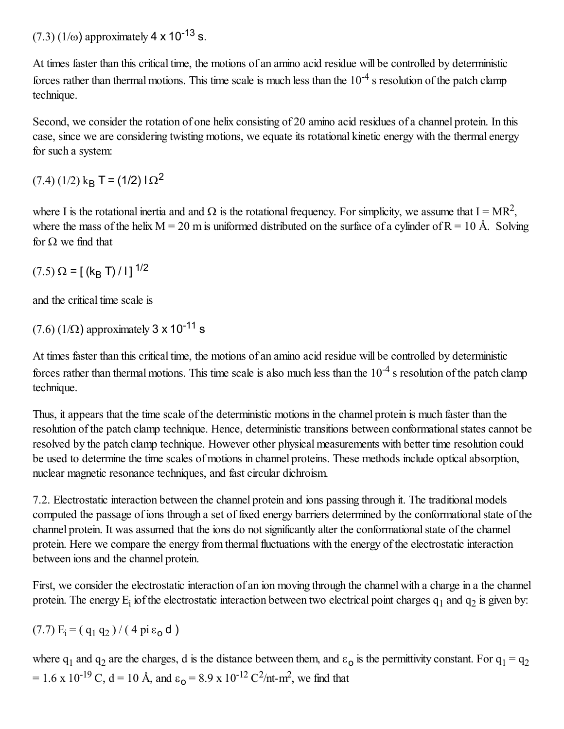$(7.3)$  (1/ $\omega$ ) approximately 4 x 10<sup>-13</sup> s.

At times faster than this critical time, the motions of an amino acid residue will be controlled by deterministic forces rather than thermal motions. This time scale is much less than the  $10^{-4}$  s resolution of the patch clamp technique.

Second, we consider the rotation of one helix consisting of 20 amino acid residues of a channel protein. In this case, since we are considering twisting motions, we equate its rotational kinetic energy with the thermal energy for such a system:

 $(7.4)$   $(1/2)$  k<sub>B</sub> T =  $(1/2)$   $\Gamma$ <sup>2</sup>

where I is the rotational inertia and and  $\Omega$  is the rotational frequency. For simplicity, we assume that  $I = MR^2$ , where the mass of the helix  $M = 20$  m is uniformed distributed on the surface of a cylinder of  $R = 10$  Å. Solving for  $\Omega$  we find that

 $(7.5) \Omega = [(k_B T)/1]$ <sup>1/2</sup>

and the critical time scale is

 $(7.6)$  (1/ $\Omega$ ) approximately 3 x 10<sup>-11</sup> s

At times faster than this critical time, the motions of an amino acid residue will be controlled by deterministic forces rather than thermal motions. This time scale is also much less than the  $10^{-4}$  s resolution of the patch clamp technique.

Thus, it appears that the time scale of the deterministic motions in the channel protein is much faster than the resolution of the patch clamp technique. Hence, deterministic transitions between conformational states cannot be resolved by the patch clamp technique. However other physical measurements with better time resolution could be used to determine the time scales of motions in channel proteins. These methods include optical absorption, nuclear magnetic resonance techniques, and fast circular dichroism.

7.2. Electrostatic interaction between the channel protein and ions passing through it. The traditional models computed the passage of ions through a set of fixed energy barriers determined by the conformational state of the channel protein. It was assumed that the ions do not significantly alter the conformationalstate of the channel protein. Here we compare the energy from thermal fluctuations with the energy of the electrostatic interaction between ions and the channel protein.

First, we consider the electrostatic interaction of an ion moving through the channel with a charge in a the channel protein. The energy  $E_i$  iof the electrostatic interaction between two electrical point charges  $q_1$  and  $q_2$  is given by:

$$
(7.7) E_i = (q_1 q_2) / (4 \pi \epsilon_0 d)
$$

where  $q_1$  and  $q_2$  are the charges, d is the distance between them, and  $\varepsilon_0$  is the permittivity constant. For  $q_1 = q_2$ = 1.6 x 10<sup>-19</sup> C, d = 10 Å, and  $\varepsilon_0$  = 8.9 x 10<sup>-12</sup> C<sup>2</sup>/nt-m<sup>2</sup>, we find that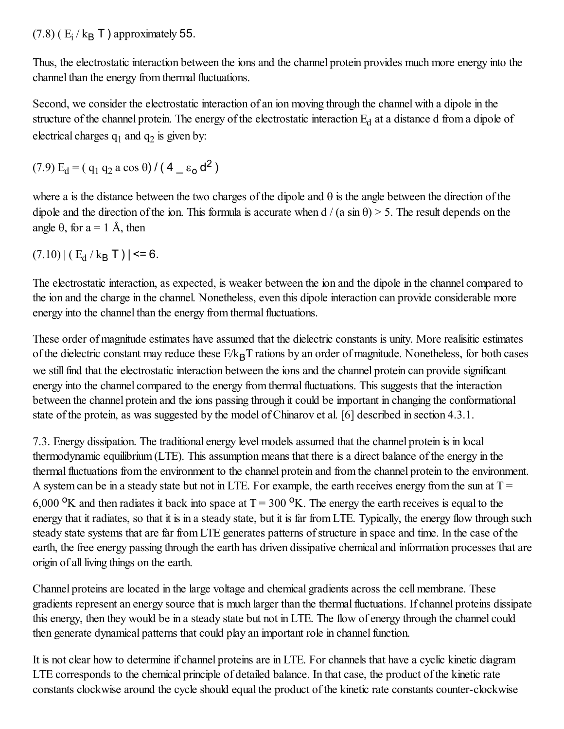$(7.8)$  ( $E_i / k_B T$ ) approximately 55.

Thus, the electrostatic interaction between the ions and the channel protein provides much more energy into the channel than the energy from thermal fluctuations.

Second, we consider the electrostatic interaction of an ion moving through the channel with a dipole in the structure of the channel protein. The energy of the electrostatic interaction  $E_d$  at a distance d from a dipole of electrical charges  $q_1$  and  $q_2$  is given by:

$$
(7.9) Ed = ( q1 q2 a cos  $\theta$ ) / (4  $\_$   $\epsilon$ <sub>o</sub> d<sup>2</sup> )
$$

where a is the distance between the two charges of the dipole and  $\theta$  is the angle between the direction of the dipole and the direction of the ion. This formula is accurate when  $d / (a \sin \theta) > 5$ . The result depends on the angle  $\theta$ , for a = 1 Å, then

 $(7.10) | (E_d / k_B T) | \le 6.$ 

The electrostatic interaction, as expected, is weaker between the ion and the dipole in the channel compared to the ion and the charge in the channel. Nonetheless, even this dipole interaction can provide considerable more energy into the channel than the energy from thermal fluctuations.

These order of magnitude estimates have assumed that the dielectric constants is unity. More realisitic estimates of the dielectric constant may reduce these  $E/k_BT$  rations by an order of magnitude. Nonetheless, for both cases we still find that the electrostatic interaction between the ions and the channel protein can provide significant energy into the channel compared to the energy from thermal fluctuations. This suggests that the interaction between the channel protein and the ions passing through it could be important in changing the conformational state of the protein, as was suggested by the model of Chinarov et al. [6] described in section 4.3.1.

7.3. Energy dissipation. The traditional energy level models assumed that the channel protein is in local thermodynamic equilibrium (LTE). This assumption means that there is a direct balance of the energy in the thermal fluctuations from the environment to the channel protein and from the channel protein to the environment. A system can be in a steady state but not in LTE. For example, the earth receives energy from the sun at  $T =$ 6,000 <sup>o</sup>K and then radiates it back into space at  $T = 300$  <sup>o</sup>K. The energy the earth receives is equal to the energy that it radiates, so that it is in a steady state, but it is far from LTE. Typically, the energy flow through such steady state systems that are far from LTE generates patterns of structure in space and time. In the case of the earth, the free energy passing through the earth has driven dissipative chemical and information processes that are origin of all living things on the earth.

Channel proteins are located in the large voltage and chemical gradients across the cell membrane. These gradients represent an energy source that is much larger than the thermal fluctuations. If channel proteins dissipate this energy, then they would be in a steady state but not in LTE. The flow of energy through the channel could then generate dynamical patterns that could play an important role in channel function.

It is not clear how to determine if channel proteins are in LTE. For channels that have a cyclic kinetic diagram LTE corresponds to the chemical principle of detailed balance. In that case, the product of the kinetic rate constants clockwise around the cycle should equal the product of the kinetic rate constants counter-clockwise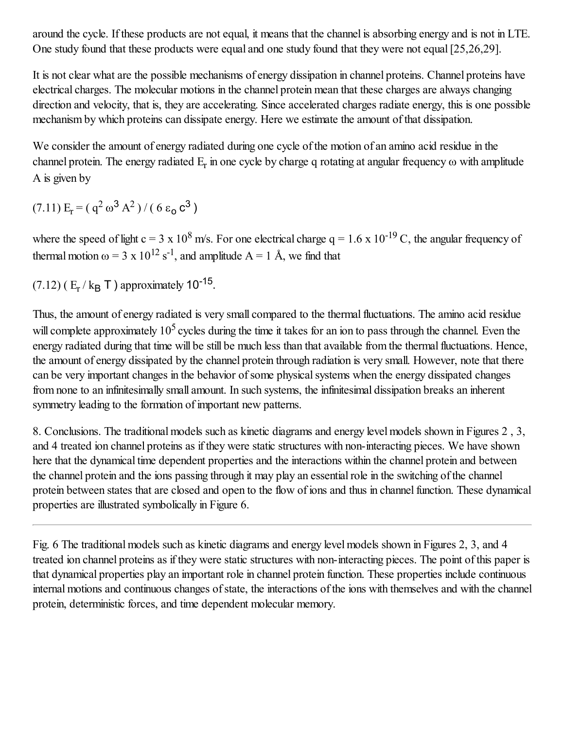around the cycle. If these products are not equal, it means that the channel is absorbing energy and is not in LTE. One study found that these products were equal and one study found that they were not equal [25,26,29].

It is not clear what are the possible mechanisms of energy dissipation in channel proteins. Channel proteins have electrical charges. The molecular motions in the channel protein mean that these charges are always changing direction and velocity, that is, they are accelerating. Since accelerated charges radiate energy, this is one possible mechanism by which proteins can dissipate energy. Here we estimate the amount of that dissipation.

We consider the amount of energy radiated during one cycle of the motion of an amino acid residue in the channel protein. The energy radiated  $E_r$  in one cycle by charge q rotating at angular frequency  $\omega$  with amplitude A is given by

 $(7.11) E_r = (q^2 \omega^3 A^2) / (6 \varepsilon_0 c^3)$ 

where the speed of light  $c = 3 \times 10^8$  m/s. For one electrical charge  $q = 1.6 \times 10^{-19}$  C, the angular frequency of thermal motion  $\omega = 3 \times 10^{12} \text{ s}^{-1}$ , and amplitude A = 1 Å, we find that

(7.12) ( $E_r / k_B T$ ) approximately 10<sup>-15</sup>.

Thus, the amount of energy radiated is very small compared to the thermal fluctuations. The amino acid residue will complete approximately  $10^5$  cycles during the time it takes for an ion to pass through the channel. Even the energy radiated during that time will be still be much less than that available from the thermal fluctuations. Hence, the amount of energy dissipated by the channel protein through radiation is very small. However, note that there can be very important changes in the behavior of some physical systems when the energy dissipated changes from none to an infinitesimally small amount. In such systems, the infinitesimal dissipation breaks an inherent symmetry leading to the formation of important new patterns.

8. Conclusions. The traditional models such as kinetic diagrams and energy level models shown in Figures 2 , 3, and 4 treated ion channel proteins as if they were static structures with non-interacting pieces. We have shown here that the dynamical time dependent properties and the interactions within the channel protein and between the channel protein and the ions passing through it may play an essentialrole in the switching of the channel protein between states that are closed and open to the flow of ions and thus in channel function. These dynamical properties are illustrated symbolically in Figure 6.

Fig. 6 The traditional models such as kinetic diagrams and energy level models shown in Figures 2, 3, and 4 treated ion channel proteins as if they were static structures with non-interacting pieces. The point of this paper is that dynamical properties play an important role in channel protein function. These properties include continuous internal motions and continuous changes of state, the interactions of the ions with themselves and with the channel protein, deterministic forces, and time dependent molecular memory.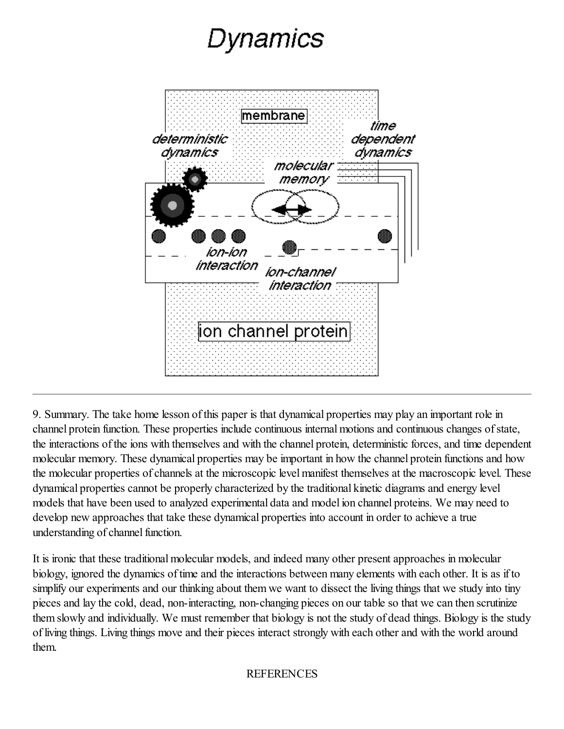# Dynamics



9. Summary. The take home lesson of this paper is that dynamical properties may play an important role in channel protein function. These properties include continuous internal motions and continuous changes ofstate, the interactions of the ions with themselves and with the channel protein, deterministic forces, and time dependent molecular memory. These dynamical properties may be important in how the channel protein functions and how the molecular properties of channels at the microscopic level manifest themselves at the macroscopic level. These dynamical properties cannot be properly characterized by the traditional kinetic diagrams and energy level models that have been used to analyzed experimental data and model ion channel proteins. We may need to develop new approaches that take these dynamical properties into account in order to achieve a true understanding of channel function.

It is ironic that these traditional molecular models, and indeed many other present approaches in molecular biology, ignored the dynamics of time and the interactions between many elements with each other. It is as if to simplify our experiments and our thinking about them we want to dissect the living things that we study into tiny pieces and lay the cold, dead, non-interacting, non-changing pieces on our table so that we can then scrutinize them slowly and individually. We must remember that biology is not the study of dead things. Biology is the study of living things. Living things move and their pieces interact strongly with each other and with the world around them.

#### REFERENCES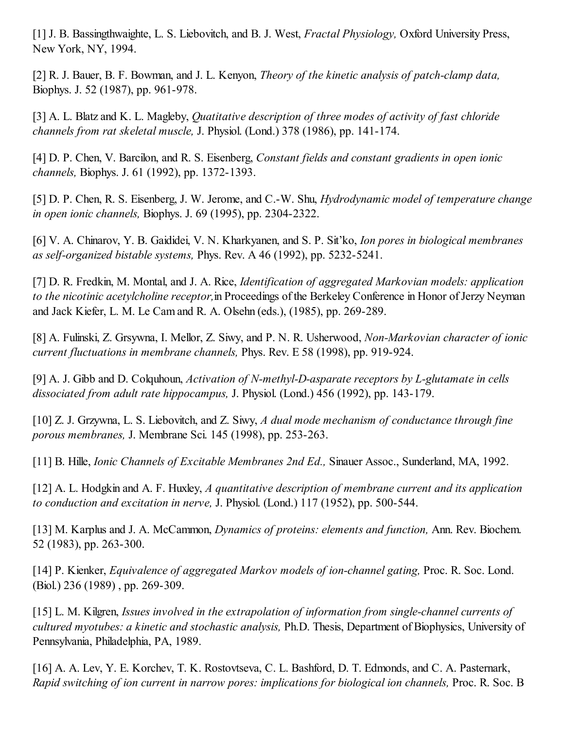[1] J. B. Bassingthwaighte, L. S. Liebovitch, and B. J. West, *Fractal Physiology,* Oxford University Press, New York, NY, 1994.

[2] R. J. Bauer, B. F. Bowman, and J. L. Kenyon, *Theory of the kinetic analysis of patch-clamp data,* Biophys. J. 52 (1987), pp. 961-978.

[3] A. L. Blatz and K. L. Magleby, *Quatitative description of three modes of activity of fast chloride channels from rat skeletal muscle,* J. Physiol. (Lond.) 378 (1986), pp. 141-174.

[4] D. P. Chen, V. Barcilon, and R. S. Eisenberg, *Constant fields and constant gradients in open ionic channels,* Biophys. J. 61 (1992), pp. 1372-1393.

[5] D. P. Chen, R. S. Eisenberg, J. W. Jerome, and C.-W. Shu, *Hydrodynamic model of temperature change in open ionic channels,* Biophys. J. 69 (1995), pp. 2304-2322.

[6] V. A. Chinarov, Y. B. Gaididei, V. N. Kharkyanen, and S. P. Sit'ko, *Ion pores in biological membranes as self-organized bistable systems,* Phys. Rev. A 46 (1992), pp. 5232-5241.

[7] D. R. Fredkin, M. Montal, and J. A. Rice, *Identification of aggregated Markovian models: application to the nicotinic acetylcholine receptor*, in Proceedings of the Berkeley Conference in Honor of Jerzy Neyman and Jack Kiefer, L. M. Le Cam and R. A. Olsehn (eds.), (1985), pp. 269-289.

[8] A. Fulinski, Z. Grsywna, I. Mellor, Z. Siwy, and P. N. R. Usherwood, *Non-Markovian character of ionic current fluctuations in membrane channels,* Phys. Rev. E 58 (1998), pp. 919-924.

[9] A. J. Gibb and D. Colquhoun, *Activation of N-methyl-D-asparate receptors by L-glutamate in cells dissociated from adult rate hippocampus,* J. Physiol. (Lond.) 456 (1992), pp. 143-179.

[10] Z. J. Grzywna, L. S. Liebovitch, and Z. Siwy, *A dual mode mechanism of conductance through fine porous membranes,* J. Membrane Sci. 145 (1998), pp. 253-263.

[11] B. Hille, *Ionic Channels of Excitable Membranes 2nd Ed.,* Sinauer Assoc., Sunderland, MA, 1992.

[12] A. L. Hodgkin and A. F. Huxley, *A quantitative description of membrane current and its application to conduction and excitation in nerve,* J. Physiol. (Lond.) 117 (1952), pp. 500-544.

[13] M. Karplus and J. A. McCammon, *Dynamics of proteins: elements and function,* Ann. Rev. Biochem. 52 (1983), pp. 263-300.

[14] P. Kienker, *Equivalence of aggregated Markov models of ion-channel gating,* Proc. R. Soc. Lond. (Biol.) 236 (1989) , pp. 269-309.

[15] L. M. Kilgren, *Issues involved in the extrapolation of information from single-channel currents of cultured myotubes: a kinetic and stochastic analysis,* Ph.D. Thesis, Department of Biophysics, University of Pennsylvania, Philadelphia, PA, 1989.

[16] A. A. Lev, Y. E. Korchev, T. K. Rostovtseva, C. L. Bashford, D. T. Edmonds, and C. A. Pasternark, *Rapid switching of ion current in narrow pores: implications for biological ion channels,* Proc. R. Soc. B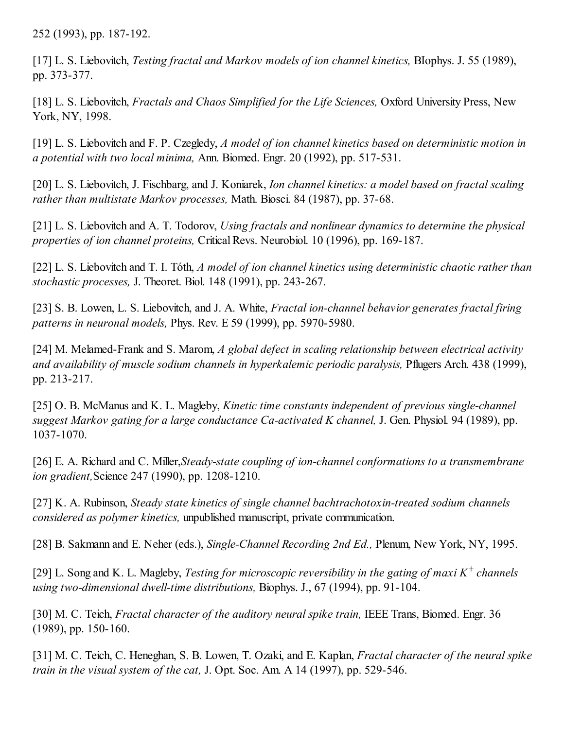252 (1993), pp. 187-192.

[17] L. S. Liebovitch, *Testing fractal and Markov models of ion channel kinetics,* BIophys. J. 55 (1989), pp. 373-377.

[18] L. S. Liebovitch, *Fractals and Chaos Simplified for the Life Sciences,* Oxford University Press, New York, NY, 1998.

[19] L. S. Liebovitch and F. P. Czegledy, *A model of ion channel kinetics based on deterministic motion in a potential with two local minima,* Ann. Biomed. Engr. 20 (1992), pp. 517-531.

[20] L. S. Liebovitch, J. Fischbarg, and J. Koniarek, *Ion channel kinetics: a model based on fractal scaling rather than multistate Markov processes,* Math. Biosci. 84 (1987), pp. 37-68.

[21] L. S. Liebovitch and A. T. Todorov, *Using fractals and nonlinear dynamics to determine the physical properties of ion channel proteins,* CriticalRevs. Neurobiol. 10 (1996), pp. 169-187.

[22] L. S. Liebovitch and T. I. Tóth, *A model of ion channel kinetics using deterministic chaotic rather than stochastic processes,* J. Theoret. Biol. 148 (1991), pp. 243-267.

[23] S. B. Lowen, L. S. Liebovitch, and J. A. White, *Fractal ion-channel behavior generates fractal firing patterns in neuronal models,* Phys. Rev. E 59 (1999), pp. 5970-5980.

[24] M. Melamed-Frank and S. Marom, *A global defect in scaling relationship between electrical activity and availability of muscle sodium channels in hyperkalemic periodic paralysis,* Pflugers Arch. 438 (1999), pp. 213-217.

[25] O. B. McManus and K. L. Magleby, *Kinetic time constants independent of previous single-channel suggest Markov gating for a large conductance Ca-activated K channel,* J. Gen. Physiol. 94 (1989), pp. 1037-1070.

[26] E. A. Richard and C. Miller,*Steady-state coupling of ion-channel conformations to a transmembrane ion gradient,*Science 247 (1990), pp. 1208-1210.

[27] K. A. Rubinson, *Steady state kinetics of single channel bachtrachotoxin-treated sodium channels considered as polymer kinetics,* unpublished manuscript, private communication.

[28] B. Sakmann and E. Neher (eds.), *Single-Channel Recording 2nd Ed.,* Plenum, New York, NY, 1995.

[29] L. Song and K. L. Magleby, *Testing for microscopic reversibility in the gating of maxi K <sup>+</sup> channels using two-dimensional dwell-time distributions,* Biophys. J., 67 (1994), pp. 91-104.

[30] M. C. Teich, *Fractal character of the auditory neural spike train,* IEEE Trans, Biomed. Engr. 36 (1989), pp. 150-160.

[31] M. C. Teich, C. Heneghan, S. B. Lowen, T. Ozaki, and E. Kaplan, *Fractal character of the neural spike train in the visual system of the cat,* J. Opt. Soc. Am. A 14 (1997), pp. 529-546.